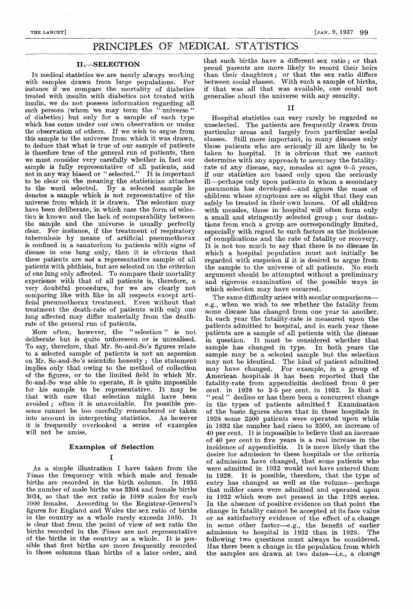# PRINCIPLES OF MEDICAL STATISTICS

# II.—SELECTION

IN medical statistics we are nearly always working with samples drawn from large populations. For instance if we compare the mortality of diabetics treated with insulin with diabetics not treated with insulin, we do not possess information regarding all such persons (whom we may term the "universe" of diabetics) but only for a sample of each type which has come under our own observation or under the observation of others. If we wish to argue from this sample to the universe from which it was drawn, to deduce that what is true of our sample of patients is therefore true of the general run of patients, then we must consider very carefully whether in fact our sample is fully representative of all patients, and not in any way biased or " selected." It is important to be clear on the meaning the statistician attaches to the word selected. By a selected sample he denotes a sample which is not representative of the universe from which it is drawn. The selection may have been deliberate, in which case the form of selection is known and the lack of comparability between the sample and the universe is usually perfectly<br>clear. For instance if the treatment of respiratory For instance, if the treatment of respiratory tuberculosis by means of artificial pneumothorax is confined in a sanatorium to patients with signs of disease in one lung only, then it is obvious that these patients are not a representative sample of all patients with phthisis, but are selected on the criterion of one lung only affected. To compare their mortality experience with that of all patients is, therefore, a very doubtful procedure, for we are clearly not comparing like with like in all respects except artificial pneumothorax treatment. Even without that treatment the death-rate of patients with only one lung affected may differ materially from the deathrate of the general run of patients.

More often, however, the " selection " is not deliberate but is quite unforeseen or is unrealised. To say, therefore, that Mr. So-and-So's figures relate to a selected sample of patients is not an aspersion on Mr. So-and-So's scientific honesty ; the statement implies only that owing to the method of collection of the figures, or to the limited field in which Mr. So-and-So was able to operate, it is quite impossible for his sample to be representative. It may be that with care that selection might have been avoided; often it is unavoidable. Its possible presence cannot be too carefully remembered or taken into account in interpreting statistics. As however it is frequently overlooked a series of examples will not be amiss.

# Examples of Selection I

As a simple illustration I have taken from the Times the frequency with which male and female births are recorded in the birth column. In 1935 the number of male births was 3304 and female births 3034, so that the sex ratio is 1089 males for each 1000 females. According to the Registrar-General's According to the Registrar-General's figures for England and Wales the sex ratio of births in the country as a whole rarely exceeds 1050. It is clear that from the point of view of sex ratio the births recorded in the  $Times$  are not representative of the births in the country as a whole. It is possible that first births are more frequently recorded in those columns than births of a later order, and

that such births have a different sex ratio ; or that proud parents are more likely to record their heirs than their daughters ; or that the sex ratio differs between social classes. With such a sample of births, if that was all that was available, one could not generalise about the universe with any security.

Hospital statistics can very rarely be regarded as unselected. The patients are frequently drawn from particular areas and largely from particular social classes. Still more important, in many diseases only those patients who are seriously ill are likely to be taken to hospital. It is obvious that we cannot determine with any approach to accuracy the fatalityrate of any disease, say, measles at ages 0-5 years, if our statistics are based only upon the seriously ill-perhaps only upon patients in whom a secondary pneumonia has developed-and ignore the mass of children whose symptoms are so slight that they can safely be treated in their own homes. Of all children with measles, those in hospital will often form only a small and stringently selected group; our deductions from such a group are correspondingly limited, especially with regard to such factors as the incidence of complications and the rate of fatality or recovery. It is not too much to say that there is no disease in which a hospital population must not initially be regarded with suspicion if it is desired to argue from the sample to the universe of all patients. No such argument should be attempted without a preliminary and rigorous examination of the possible ways in which selection may have occurred.

The same difficulty arises with secular comparisonse.g., when we wish to see whether the fatality from some disease has changed from one year to another. In each year the fatality-rate is measured upon the patients admitted to hospital, and in each year those patients are a sample of all patients with the disease in question. It must be considered whether that sample has changed in type. In both years the sample may be a selected sample but the selection may not be identical. The kind of patient admitted may have changed. For example, in a group of may have changed. For example, in a group of American hospitals it has been reported that the fatality-rate from appendicitis declined from 6 per cent. in 1928 to 3-5 per cent. in 1932. Is that a " real " decline or has there been a concurrent change in the types of patients admitted? Examination of the basic figures shows that in these hospitals in 1928 some 2500 patients were operated upon while in 1932 the number had risen to 3500, an increase of 40 per cent. It is impossible to believe that an increase of 40 per cent in five years is a real increase in the incidence of appendicitis. It is more likely that the desire for admission to these hospitals or the criteria of admission have changed, that some patients who were admitted in 1932 would not have entered them in 1928. It is possible, therefore, that the type of entry has changed as well as the volume-perhaps that milder cases were admitted and operated upon in 1932 which were not present in the 1928 series. In the absence of positive evidence on that point the change in fatality cannot be accepted at its face value or as satisfactory evidence of the effect of a change in some other factor-e.g., the benefit of earlier<br>admission to hospital in 1932 than in 1928. The admission to hospital in  $1932$  than in 1928. following two questions must always be considered. Has there been a change in the population from which the samples are drawn at two dates-i.e., a change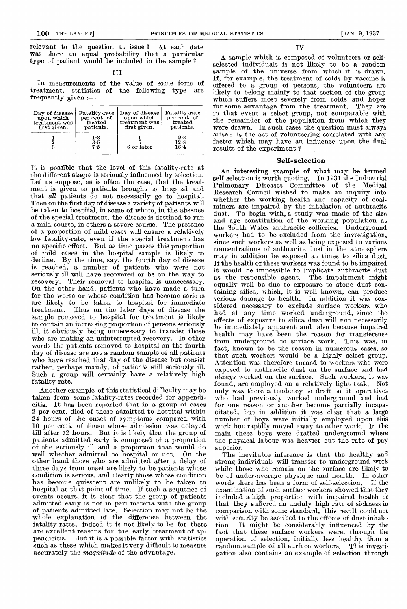relevant to the question at issue? At each date was there an equal probability that a particular type of patient would be included in the sample ?

| v<br>× |
|--------|

In measurements of the value of some form of treatment, statistics of the following type are frequently given :-

| Day of disease | Fatality-rate             | Day of disease | Fatality-rate       |
|----------------|---------------------------|----------------|---------------------|
| upon which     | per cent. of              | upon which     | per cent. of        |
| treatment was  | treated                   | treatment was  | treated             |
| first given.   | patients.                 | first given.   | patients.           |
|                | $1 \cdot 3$<br>3.6<br>7.5 | 6 or later     | 9.3<br>12.8<br>16.4 |

It is possible that the level of this fatality-rate at the different stages is seriously influenced by selection. Let us suppose, as is often the case, that the treatment is given to patients brought to hospital and that all patients do not necessarily go to hospital. Then on the first day of disease a variety of patients will be taken to hospital, in some of whom, in the absence of the special treatment, the disease is destined to run a mild course, in others a severe course. The presence of a proportion of mild cases will ensure a relatively low fatality-rate, even if the special treatment has no specific effect. But as time passes this proportion of mild cases in the hospital sample is likely to decline. By the time, say, the fourth day of disease is reached, a number of patients who were not seriously ill will have recovered or be on the way to recovery. Their removal to hospital is unnecessary. Their removal to hospital is unnecessary. On the other hand, patients who have made a turn for the worse or whose condition has become serious are likely to be taken to hospital for immediate treatment. Thus on the later days of disease the sample removed to hospital for treatment is likely to contain an increasing proportion of persons seriously ill, it obviously being unnecessary to transfer those who are making an uninterrupted recovery. In other words the patients removed to hospital on the fourth day of disease are not a random sample of all patients who have reached that day of the disease but consist rather, perhaps mainly, of patients still seriously ill. Such a group will certainly have a relatively high fatality-rate.

Another example of this statistical difficulty may be taken from some fatality-rates recorded for appendicitis. It has been reported that in a group of cases 2 per cent. died of those admitted to hospital within 24 hours of the onset of symptoms compared with 10 per cent. of those whose admission was delayed till after 72 hours. But it is likely that the group of patients admitted early is composed of a proportion of the seriously ill and a proportion that would do well whether admitted to hospital or not. On the other hand those who are admitted after a delay of three days from onset are likely to be patients whose condition is serious, and clearly those whose condition has become quiescent are unlikely to be taken to hospital at that point of time. If such a sequence of events occurs, it is clear that the group of patients admitted early is not in pari materia with the group of patients admitted late. Selection may not be the whole explanation of the difference between the fatality-rates, indeed it is not likely to be for there are excellent reasons for the early treatment of appendicitis. But it is a possible factor with statistics such as these which makes it very difficult to measure accurately the magnitude of the advantage.

IV

A sample which is composed of volunteers or selfselected individuals is not likely to be a random sample of the universe from which it is drawn. If, for example, the treatment of colds by vaccine is offered to a group of persons, the volunteers are likely to belong mainly to that section of the group which suffers most severely from colds and hopes for some advantage from the treatment. They are in that event a select group, not comparable with were drawn. In such cases the question must always arise : is the act of volunteering correlated with any factor which may have an influence upon the final results of the experiment ?

### Self-selection

An interesitng example of what may be termed self-selection is worth quoting. In 1931 the Industrial Pulmonary Diseases Committee of the Medical Research Council wished to make an inquiry into whether the working health and capacity of coalminers are impaired by the inhalation of anthracite dust. To begin with, a study was made of the size and age constitution of the working population at the South Wales anthracite collieries. workers had to be excluded from the investigation, since such workers as well as being exposed to various concentrations of anthracite dust in the atmosphere may in addition be exposed at times to silica dust. If the health of these workers was found to be impaired it would be impossible to implicate anthracite dust as the responsible agent. The impairment might equally well be due to exposure to stone dust containing silica, which, it is well known, can produce serious damage to health. In addition it was considered necessary to exclude surface workers who had at any time worked underground, since the effects of exposure to silica dust will not necessarily be immediately apparent and also because impaired health may have been the reason for transference from underground to surface work. This was, in fact, known to be the reason in numerous cases, so that such workers would be a highly select group. Attention was therefore turned to workers who were exposed to anthracite dust on the surface and had always worked on the surface. Such workers, it was found, are employed on a relatively light task. Not only was there a tendency to draft to it operatives who had previously worked underground and had for one reason or another become partially incapacitated, but in addition it was clear that a large number of boys were initially employed upon this work but rapidly moved away to other work. In the main these boys were drafted underground where the physical labour was heavier but the rate of pay superior.

The inevitable inference is that the healthy and strong individuals will transfer to underground work while those who remain on the surface are likely to be of under-average physique and health. In other words there has been a form of self-selection. If the words there has been a form of self-selection. examination of such surface workers showed that they included a high proportion with impaired health or that they suffered an unduly high rate of sickness in comparison with some standard, this result could not with security be ascribed to the effects of dust inhalation. It might be considerably influenced by the fact that these surface workers were, through the operation of selection, initially less healthy than a random. sample of all surface workers. This investigation also contains an example of selection through